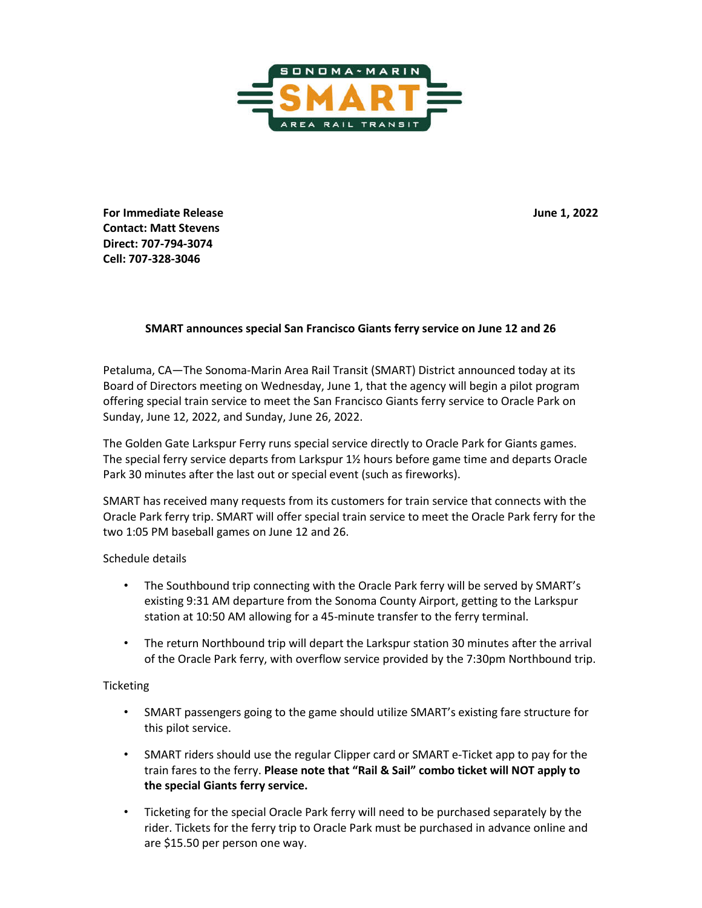

**For Immediate Release June 1, 2022 Contact: Matt Stevens Direct: 707-794-3074 Cell: 707-328-3046** 

## **SMART announces special San Francisco Giants ferry service on June 12 and 26**

Petaluma, CA—The Sonoma-Marin Area Rail Transit (SMART) District announced today at its Board of Directors meeting on Wednesday, June 1, that the agency will begin a pilot program offering special train service to meet the San Francisco Giants ferry service to Oracle Park on Sunday, June 12, 2022, and Sunday, June 26, 2022.

The Golden Gate Larkspur Ferry runs special service directly to Oracle Park for Giants games. The special ferry service departs from Larkspur 1½ hours before game time and departs Oracle Park 30 minutes after the last out or special event (such as fireworks).

SMART has received many requests from its customers for train service that connects with the Oracle Park ferry trip. SMART will offer special train service to meet the Oracle Park ferry for the two 1:05 PM baseball games on June 12 and 26.

## Schedule details

- The Southbound trip connecting with the Oracle Park ferry will be served by SMART's existing 9:31 AM departure from the Sonoma County Airport, getting to the Larkspur station at 10:50 AM allowing for a 45-minute transfer to the ferry terminal.
- The return Northbound trip will depart the Larkspur station 30 minutes after the arrival of the Oracle Park ferry, with overflow service provided by the 7:30pm Northbound trip.

## **Ticketing**

- SMART passengers going to the game should utilize SMART's existing fare structure for this pilot service.
- SMART riders should use the regular Clipper card or SMART e-Ticket app to pay for the train fares to the ferry. **Please note that "Rail & Sail" combo ticket will NOT apply to the special Giants ferry service.**
- Ticketing for the special Oracle Park ferry will need to be purchased separately by the rider. Tickets for the ferry trip to Oracle Park must be purchased in advance online and are \$15.50 per person one way.